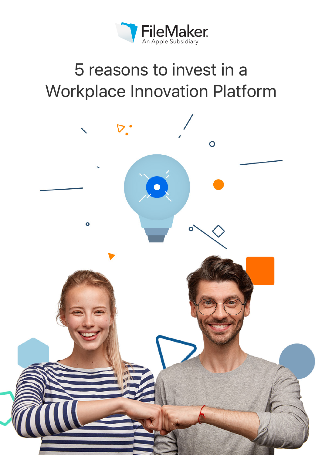

# 5 reasons to invest in a Workplace Innovation Platform

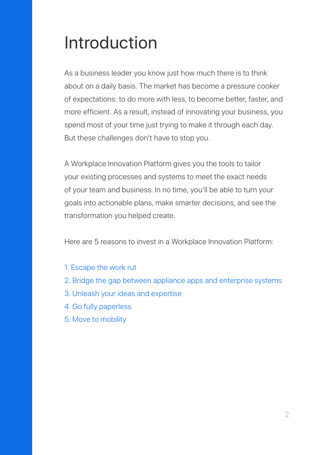# Introduction

As a business leader you know just how much there is to think about on a daily basis. The market has become a pressure cooker of expectations: to do more with less, to become better, faster, and more efficient. As a result, instead of innovating your business, you spend most of your time just trying to make it through each day. But these challenges don't have to stop you.

A Workplace Innovation Platform gives you the tools to tailor your existing processes and systems to meet the exact needs of your team and business. In no time, you'll be able to turn your goals into actionable plans, make smarter decisions, and see the transformation you helped create.

Here are 5 reasons to invest in a Workplace Innovation Platform:

- 1. Escape the work rut
- 2. Bridge the gap between appliance apps and enterprise systems
- 3. Unleash your ideas and expertise
- 4. Go fully paperless
- 5. Move to mobility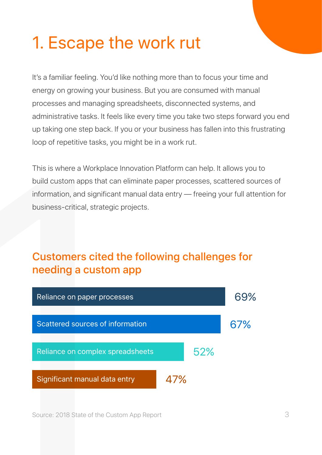# 1. Escape the work rut

It's a familiar feeling. You'd like nothing more than to focus your time and energy on growing your business. But you are consumed with manual processes and managing spreadsheets, disconnected systems, and administrative tasks. It feels like every time you take two steps forward you end up taking one step back. If you or your business has fallen into this frustrating loop of repetitive tasks, you might be in a work rut.

This is where a Workplace Innovation Platform can help. It allows you to build custom apps that can eliminate paper processes, scattered sources of information, and significant manual data entry — freeing your full attention for business-critical, strategic projects.

#### Customers cited the following challenges for needing a custom app



Source: 2018 State of the Custom App Report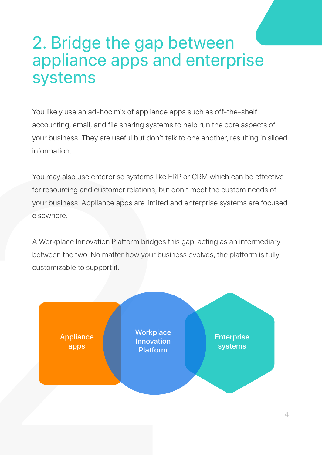### 2. Bridge the gap between appliance apps and enterprise systems

You likely use an ad-hoc mix of appliance apps such as off-the-shelf accounting, email, and file sharing systems to help run the core aspects of your business. They are useful but don't talk to one another, resulting in siloed information.

You may also use enterprise systems like ERP or CRM which can be effective for resourcing and customer relations, but don't meet the custom needs of your business. Appliance apps are limited and enterprise systems are focused elsewhere.

A Workplace Innovation Platform bridges this gap, acting as an intermediary between the two. No matter how your business evolves, the platform is fully customizable to support it.

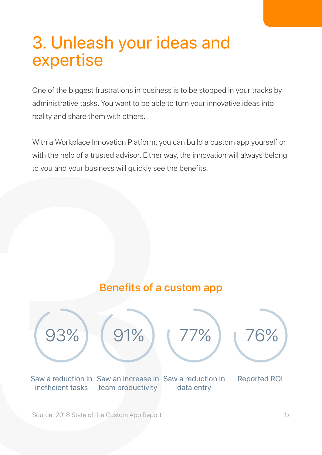## 3. Unleash your ideas and expertise

One of the biggest frustrations in business is to be stopped in your tracks by administrative tasks. You want to be able to turn your innovative ideas into reality and share them with others.

With a Workplace Innovation Platform, you can build a custom app yourself or with the help of a trusted advisor. Either way, the innovation will always belong to you and your business will quickly see the benefits.

#### Benefits of a custom app



Source: 2018 State of the Custom App Report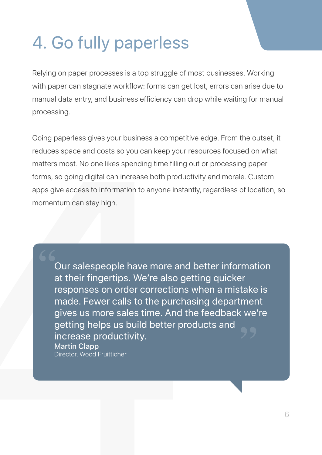# 4. Go fully paperless

Relying on paper processes is a top struggle of most businesses. Working with paper can stagnate workflow: forms can get lost, errors can arise due to manual data entry, and business efficiency can drop while waiting for manual processing.

Going paperless gives your business a competitive edge. From the outset, it reduces space and costs so you can keep your resources focused on what matters most. No one likes spending time filling out or processing paper forms, so going digital can increase both productivity and morale. Custom apps give access to information to anyone instantly, regardless of location, so

reduces space and costs so you can keep your<br>matters most. No one likes spending time filling<br>forms, so going digital can increase both produc<br>apps give access to information to anyone instar<br>momentum can stay high.<br>Dur sa Our salespeople have more and better information at their fingertips. We're also getting quicker responses on order corrections when a mistake is made. Fewer calls to the purchasing department gives us more sales time. And the feedback we're getting helps us build better products and increase productivity. Martin Clapp Director, Wood Fruitticher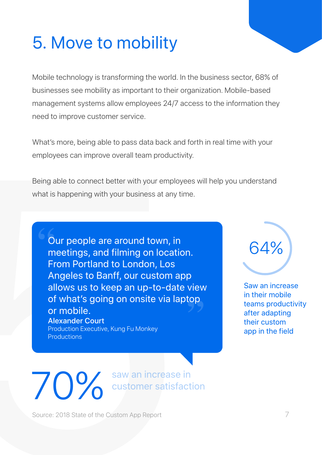# 5. Move to mobility

Mobile technology is transforming the world. In the business sector, 68% of businesses see mobility as important to their organization. Mobile-based management systems allow employees 24/7 access to the information they need to improve customer service.

What's more, being able to pass data back and forth in real time with your employees can improve overall team productivity.

Being able to connect better with your employees will help you understand what is happening with your business at any time.

What's more, being able to pass data back and forth in real time with your<br>
employees can improve overall team productivity.<br>
Being able to connect better with your employees will help you understand<br>
what is happening wit Our people are around town, in  $64\%$  meetings, and filming on location. From Portland to London, Los Angeles to Banff, our custom app allows us to keep an up-to-date view of what's going on onsite via laptop or mobile. Alexander Court Production Executive, Kung Fu Monkey **Productions** 



Saw an increase in their mobile teams productivity after adapting their custom app in the field

**10% Saw an increase in Saw an increase in** 

Source: 2018 State of the Custom App Report